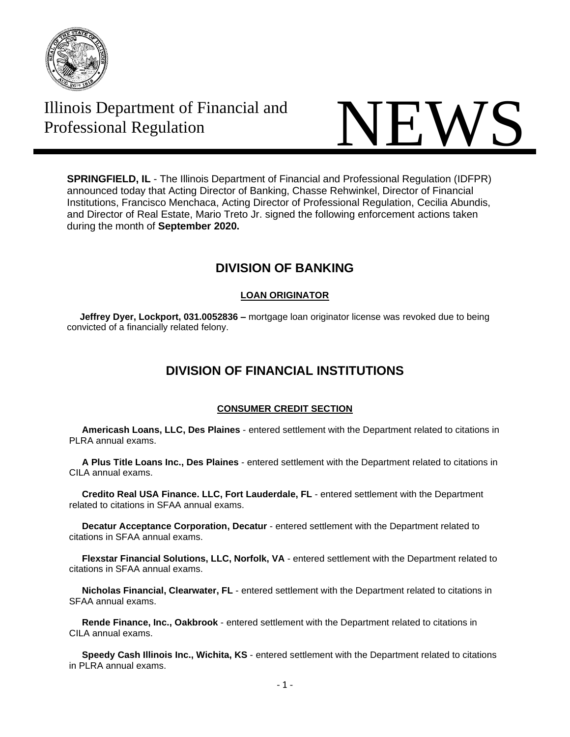

# Illinois Department of Financial and



**SPRINGFIELD, IL** - The Illinois Department of Financial and Professional Regulation (IDFPR) announced today that Acting Director of Banking, Chasse Rehwinkel, Director of Financial Institutions, Francisco Menchaca, Acting Director of Professional Regulation, Cecilia Abundis, and Director of Real Estate, Mario Treto Jr. signed the following enforcement actions taken during the month of **September 2020.**

## **DIVISION OF BANKING**

## **LOAN ORIGINATOR**

 **Jeffrey Dyer, Lockport, 031.0052836 –** mortgage loan originator license was revoked due to being convicted of a financially related felony.

# **DIVISION OF FINANCIAL INSTITUTIONS**

### **CONSUMER CREDIT SECTION**

 **Americash Loans, LLC, Des Plaines** - entered settlement with the Department related to citations in PLRA annual exams.

 **A Plus Title Loans Inc., Des Plaines** - entered settlement with the Department related to citations in CILA annual exams.

 **Credito Real USA Finance. LLC, Fort Lauderdale, FL** - entered settlement with the Department related to citations in SFAA annual exams.

 **Decatur Acceptance Corporation, Decatur** - entered settlement with the Department related to citations in SFAA annual exams.

 **Flexstar Financial Solutions, LLC, Norfolk, VA** - entered settlement with the Department related to citations in SFAA annual exams.

 **Nicholas Financial, Clearwater, FL** - entered settlement with the Department related to citations in SFAA annual exams.

 **Rende Finance, Inc., Oakbrook** - entered settlement with the Department related to citations in CILA annual exams.

 **Speedy Cash Illinois Inc., Wichita, KS** - entered settlement with the Department related to citations in PLRA annual exams.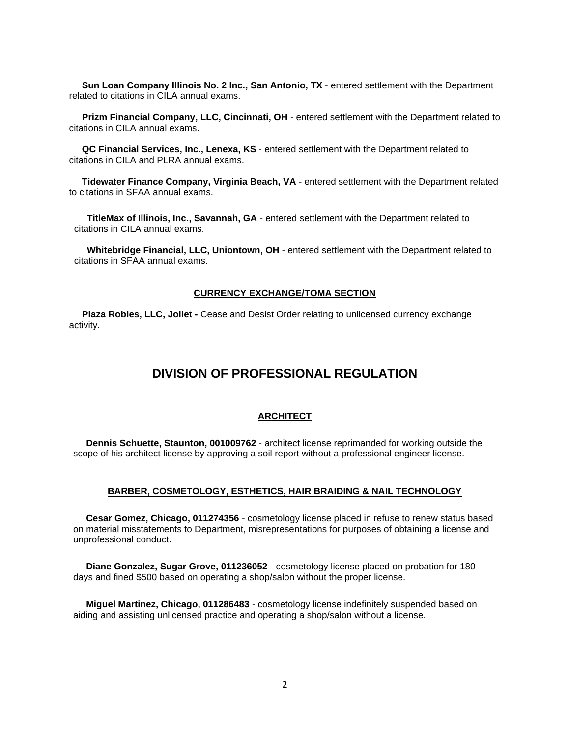**Sun Loan Company Illinois No. 2 Inc., San Antonio, TX** - entered settlement with the Department related to citations in CILA annual exams.

 **Prizm Financial Company, LLC, Cincinnati, OH** - entered settlement with the Department related to citations in CILA annual exams.

 **QC Financial Services, Inc., Lenexa, KS** - entered settlement with the Department related to citations in CILA and PLRA annual exams.

 **Tidewater Finance Company, Virginia Beach, VA** - entered settlement with the Department related to citations in SFAA annual exams.

 **TitleMax of Illinois, Inc., Savannah, GA** - entered settlement with the Department related to citations in CILA annual exams.

 **Whitebridge Financial, LLC, Uniontown, OH** - entered settlement with the Department related to citations in SFAA annual exams.

#### **CURRENCY EXCHANGE/TOMA SECTION**

 **Plaza Robles, LLC, Joliet -** Cease and Desist Order relating to unlicensed currency exchange activity.

## **DIVISION OF PROFESSIONAL REGULATION**

#### **ARCHITECT**

 **Dennis Schuette, Staunton, 001009762** - architect license reprimanded for working outside the scope of his architect license by approving a soil report without a professional engineer license.

#### **BARBER, COSMETOLOGY, ESTHETICS, HAIR BRAIDING & NAIL TECHNOLOGY**

 **Cesar Gomez, Chicago, 011274356** - cosmetology license placed in refuse to renew status based on material misstatements to Department, misrepresentations for purposes of obtaining a license and unprofessional conduct.

 **Diane Gonzalez, Sugar Grove, 011236052** - cosmetology license placed on probation for 180 days and fined \$500 based on operating a shop/salon without the proper license.

 **Miguel Martinez, Chicago, 011286483** - cosmetology license indefinitely suspended based on aiding and assisting unlicensed practice and operating a shop/salon without a license.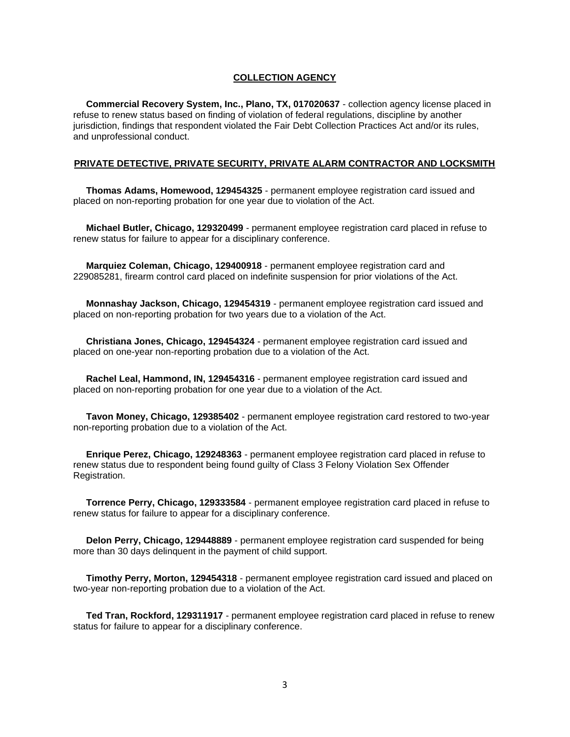#### **COLLECTION AGENCY**

 **Commercial Recovery System, Inc., Plano, TX, 017020637** - collection agency license placed in refuse to renew status based on finding of violation of federal regulations, discipline by another jurisdiction, findings that respondent violated the Fair Debt Collection Practices Act and/or its rules, and unprofessional conduct.

#### **PRIVATE DETECTIVE, PRIVATE SECURITY, PRIVATE ALARM CONTRACTOR AND LOCKSMITH**

 **Thomas Adams, Homewood, 129454325** - permanent employee registration card issued and placed on non-reporting probation for one year due to violation of the Act.

 **Michael Butler, Chicago, 129320499** - permanent employee registration card placed in refuse to renew status for failure to appear for a disciplinary conference.

 **Marquiez Coleman, Chicago, 129400918** - permanent employee registration card and 229085281, firearm control card placed on indefinite suspension for prior violations of the Act.

 **Monnashay Jackson, Chicago, 129454319** - permanent employee registration card issued and placed on non-reporting probation for two years due to a violation of the Act.

 **Christiana Jones, Chicago, 129454324** - permanent employee registration card issued and placed on one-year non-reporting probation due to a violation of the Act.

 **Rachel Leal, Hammond, IN, 129454316** - permanent employee registration card issued and placed on non-reporting probation for one year due to a violation of the Act.

 **Tavon Money, Chicago, 129385402** - permanent employee registration card restored to two-year non-reporting probation due to a violation of the Act.

 **Enrique Perez, Chicago, 129248363** - permanent employee registration card placed in refuse to renew status due to respondent being found guilty of Class 3 Felony Violation Sex Offender Registration.

 **Torrence Perry, Chicago, 129333584** - permanent employee registration card placed in refuse to renew status for failure to appear for a disciplinary conference.

 **Delon Perry, Chicago, 129448889** - permanent employee registration card suspended for being more than 30 days delinquent in the payment of child support.

 **Timothy Perry, Morton, 129454318** - permanent employee registration card issued and placed on two-year non-reporting probation due to a violation of the Act.

 **Ted Tran, Rockford, 129311917** - permanent employee registration card placed in refuse to renew status for failure to appear for a disciplinary conference.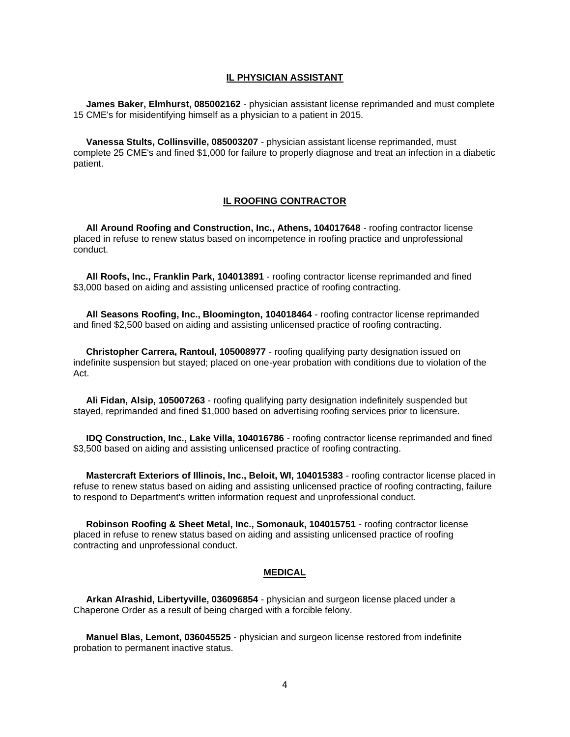#### **IL PHYSICIAN ASSISTANT**

 **James Baker, Elmhurst, 085002162** - physician assistant license reprimanded and must complete 15 CME's for misidentifying himself as a physician to a patient in 2015.

 **Vanessa Stults, Collinsville, 085003207** - physician assistant license reprimanded, must complete 25 CME's and fined \$1,000 for failure to properly diagnose and treat an infection in a diabetic patient.

#### **IL ROOFING CONTRACTOR**

 **All Around Roofing and Construction, Inc., Athens, 104017648** - roofing contractor license placed in refuse to renew status based on incompetence in roofing practice and unprofessional conduct.

 **All Roofs, Inc., Franklin Park, 104013891** - roofing contractor license reprimanded and fined \$3,000 based on aiding and assisting unlicensed practice of roofing contracting.

 **All Seasons Roofing, Inc., Bloomington, 104018464** - roofing contractor license reprimanded and fined \$2,500 based on aiding and assisting unlicensed practice of roofing contracting.

 **Christopher Carrera, Rantoul, 105008977** - roofing qualifying party designation issued on indefinite suspension but stayed; placed on one-year probation with conditions due to violation of the Act.

 **Ali Fidan, Alsip, 105007263** - roofing qualifying party designation indefinitely suspended but stayed, reprimanded and fined \$1,000 based on advertising roofing services prior to licensure.

 **IDQ Construction, Inc., Lake Villa, 104016786** - roofing contractor license reprimanded and fined \$3,500 based on aiding and assisting unlicensed practice of roofing contracting.

 **Mastercraft Exteriors of Illinois, Inc., Beloit, WI, 104015383** - roofing contractor license placed in refuse to renew status based on aiding and assisting unlicensed practice of roofing contracting, failure to respond to Department's written information request and unprofessional conduct.

 **Robinson Roofing & Sheet Metal, Inc., Somonauk, 104015751** - roofing contractor license placed in refuse to renew status based on aiding and assisting unlicensed practice of roofing contracting and unprofessional conduct.

#### **MEDICAL**

 **Arkan Alrashid, Libertyville, 036096854** - physician and surgeon license placed under a Chaperone Order as a result of being charged with a forcible felony.

 **Manuel Blas, Lemont, 036045525** - physician and surgeon license restored from indefinite probation to permanent inactive status.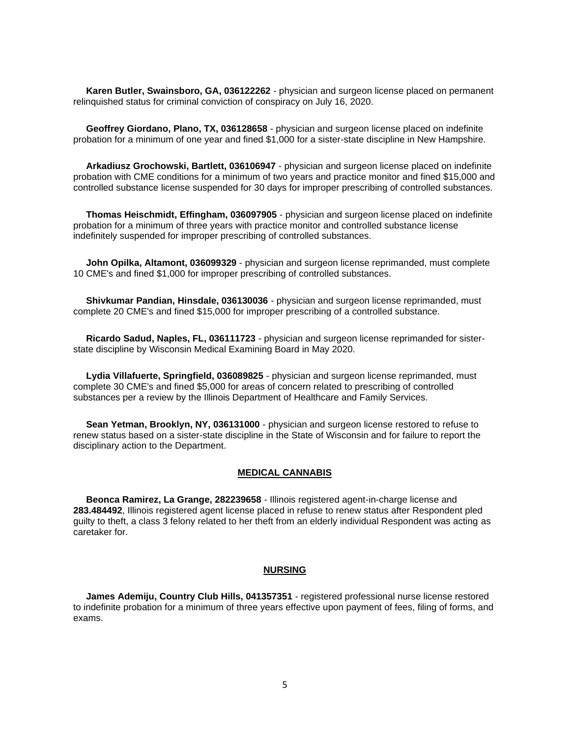**Karen Butler, Swainsboro, GA, 036122262** - physician and surgeon license placed on permanent relinquished status for criminal conviction of conspiracy on July 16, 2020.

 **Geoffrey Giordano, Plano, TX, 036128658** - physician and surgeon license placed on indefinite probation for a minimum of one year and fined \$1,000 for a sister-state discipline in New Hampshire.

 **Arkadiusz Grochowski, Bartlett, 036106947** - physician and surgeon license placed on indefinite probation with CME conditions for a minimum of two years and practice monitor and fined \$15,000 and controlled substance license suspended for 30 days for improper prescribing of controlled substances.

 **Thomas Heischmidt, Effingham, 036097905** - physician and surgeon license placed on indefinite probation for a minimum of three years with practice monitor and controlled substance license indefinitely suspended for improper prescribing of controlled substances.

 **John Opilka, Altamont, 036099329** - physician and surgeon license reprimanded, must complete 10 CME's and fined \$1,000 for improper prescribing of controlled substances.

 **Shivkumar Pandian, Hinsdale, 036130036** - physician and surgeon license reprimanded, must complete 20 CME's and fined \$15,000 for improper prescribing of a controlled substance.

 **Ricardo Sadud, Naples, FL, 036111723** - physician and surgeon license reprimanded for sisterstate discipline by Wisconsin Medical Examining Board in May 2020.

 **Lydia Villafuerte, Springfield, 036089825** - physician and surgeon license reprimanded, must complete 30 CME's and fined \$5,000 for areas of concern related to prescribing of controlled substances per a review by the Illinois Department of Healthcare and Family Services.

 **Sean Yetman, Brooklyn, NY, 036131000** - physician and surgeon license restored to refuse to renew status based on a sister-state discipline in the State of Wisconsin and for failure to report the disciplinary action to the Department.

#### **MEDICAL CANNABIS**

 **Beonca Ramirez, La Grange, 282239658** - Illinois registered agent-in-charge license and **283.484492**, Illinois registered agent license placed in refuse to renew status after Respondent pled guilty to theft, a class 3 felony related to her theft from an elderly individual Respondent was acting as caretaker for.

#### **NURSING**

 **James Ademiju, Country Club Hills, 041357351** - registered professional nurse license restored to indefinite probation for a minimum of three years effective upon payment of fees, filing of forms, and exams.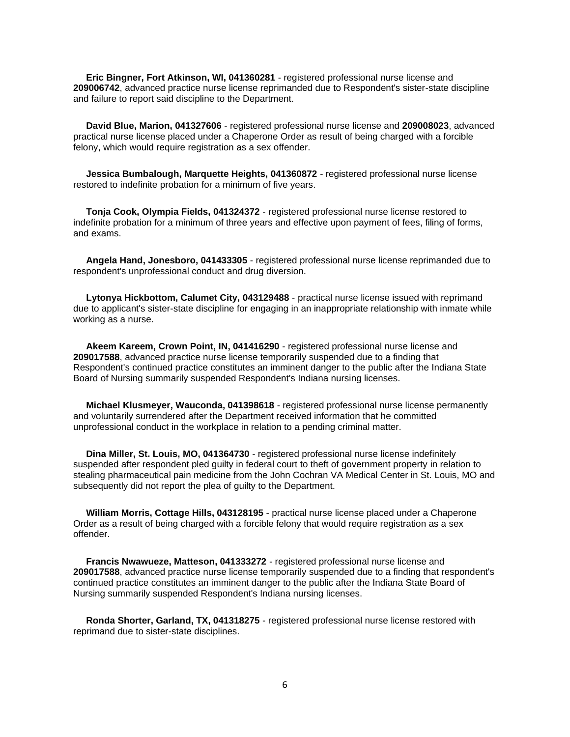**Eric Bingner, Fort Atkinson, WI, 041360281** - registered professional nurse license and **209006742**, advanced practice nurse license reprimanded due to Respondent's sister-state discipline and failure to report said discipline to the Department.

 **David Blue, Marion, 041327606** - registered professional nurse license and **209008023**, advanced practical nurse license placed under a Chaperone Order as result of being charged with a forcible felony, which would require registration as a sex offender.

 **Jessica Bumbalough, Marquette Heights, 041360872** - registered professional nurse license restored to indefinite probation for a minimum of five years.

 **Tonja Cook, Olympia Fields, 041324372** - registered professional nurse license restored to indefinite probation for a minimum of three years and effective upon payment of fees, filing of forms, and exams.

 **Angela Hand, Jonesboro, 041433305** - registered professional nurse license reprimanded due to respondent's unprofessional conduct and drug diversion.

 **Lytonya Hickbottom, Calumet City, 043129488** - practical nurse license issued with reprimand due to applicant's sister-state discipline for engaging in an inappropriate relationship with inmate while working as a nurse.

 **Akeem Kareem, Crown Point, IN, 041416290** - registered professional nurse license and **209017588**, advanced practice nurse license temporarily suspended due to a finding that Respondent's continued practice constitutes an imminent danger to the public after the Indiana State Board of Nursing summarily suspended Respondent's Indiana nursing licenses.

 **Michael Klusmeyer, Wauconda, 041398618** - registered professional nurse license permanently and voluntarily surrendered after the Department received information that he committed unprofessional conduct in the workplace in relation to a pending criminal matter.

 **Dina Miller, St. Louis, MO, 041364730** - registered professional nurse license indefinitely suspended after respondent pled guilty in federal court to theft of government property in relation to stealing pharmaceutical pain medicine from the John Cochran VA Medical Center in St. Louis, MO and subsequently did not report the plea of guilty to the Department.

 **William Morris, Cottage Hills, 043128195** - practical nurse license placed under a Chaperone Order as a result of being charged with a forcible felony that would require registration as a sex offender.

 **Francis Nwawueze, Matteson, 041333272** - registered professional nurse license and **209017588**, advanced practice nurse license temporarily suspended due to a finding that respondent's continued practice constitutes an imminent danger to the public after the Indiana State Board of Nursing summarily suspended Respondent's Indiana nursing licenses.

 **Ronda Shorter, Garland, TX, 041318275** - registered professional nurse license restored with reprimand due to sister-state disciplines.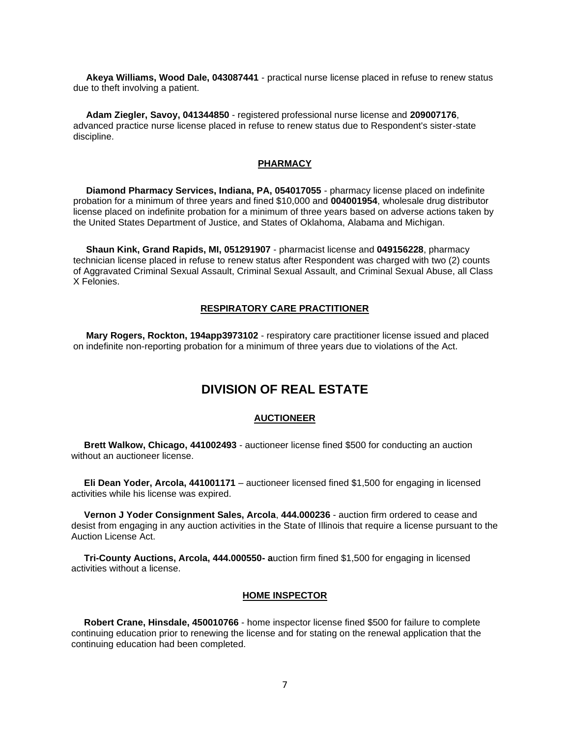**Akeya Williams, Wood Dale, 043087441** - practical nurse license placed in refuse to renew status due to theft involving a patient.

 **Adam Ziegler, Savoy, 041344850** - registered professional nurse license and **209007176**, advanced practice nurse license placed in refuse to renew status due to Respondent's sister-state discipline.

#### **PHARMACY**

 **Diamond Pharmacy Services, Indiana, PA, 054017055** - pharmacy license placed on indefinite probation for a minimum of three years and fined \$10,000 and **004001954**, wholesale drug distributor license placed on indefinite probation for a minimum of three years based on adverse actions taken by the United States Department of Justice, and States of Oklahoma, Alabama and Michigan.

 **Shaun Kink, Grand Rapids, MI, 051291907** - pharmacist license and **049156228**, pharmacy technician license placed in refuse to renew status after Respondent was charged with two (2) counts of Aggravated Criminal Sexual Assault, Criminal Sexual Assault, and Criminal Sexual Abuse, all Class X Felonies.

#### **RESPIRATORY CARE PRACTITIONER**

 **Mary Rogers, Rockton, 194app3973102** - respiratory care practitioner license issued and placed on indefinite non-reporting probation for a minimum of three years due to violations of the Act.

## **DIVISION OF REAL ESTATE**

#### **AUCTIONEER**

 **Brett Walkow, Chicago, 441002493** - auctioneer license fined \$500 for conducting an auction without an auctioneer license.

 **Eli Dean Yoder, Arcola, 441001171** – auctioneer licensed fined \$1,500 for engaging in licensed activities while his license was expired.

 **Vernon J Yoder Consignment Sales, Arcola**, **444.000236** - auction firm ordered to cease and desist from engaging in any auction activities in the State of Illinois that require a license pursuant to the Auction License Act.

 **Tri-County Auctions, Arcola, 444.000550- a**uction firm fined \$1,500 for engaging in licensed activities without a license.

#### **HOME INSPECTOR**

 **Robert Crane, Hinsdale, 450010766** - home inspector license fined \$500 for failure to complete continuing education prior to renewing the license and for stating on the renewal application that the continuing education had been completed.